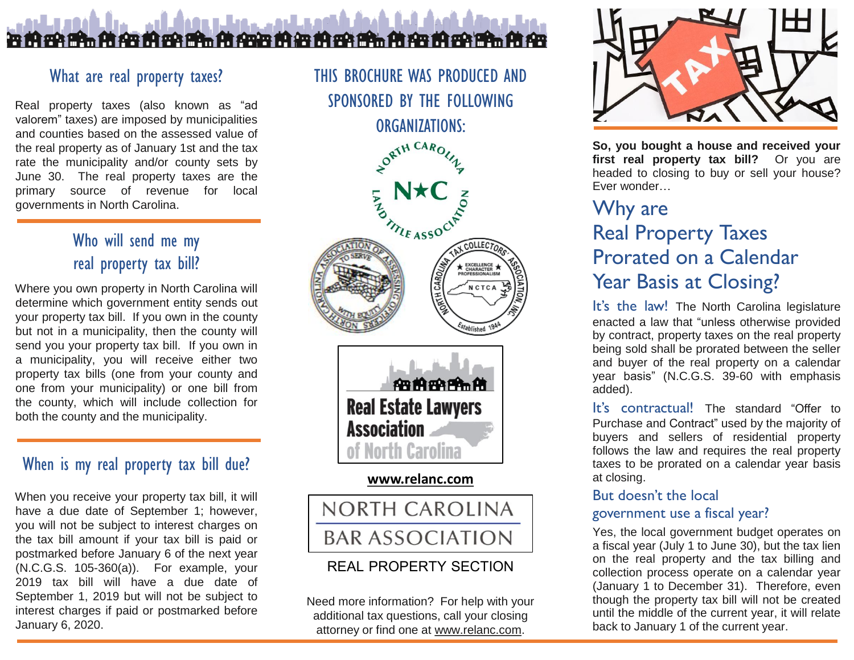## بالإمحاء ومروعاتها عالية <u> स ही हमे ही जैन ही इस ही जैने कि बिस ही कि ही हमे ही जैन ही हमे ही इस ही हम</u>

## What are real property taxes?

Real property taxes (also known as "ad valorem" taxes) are imposed by municipalities and counties based on the assessed value of the real property as of January 1st and the tax rate the municipality and/or county sets by June 30. The real property taxes are the primary source of revenue for local governments in North Carolina.

# Who will send me my real property tax bill?

Where you own property in North Carolina will determine which government entity sends out your property tax bill. If you own in the county but not in a municipality, then the county will send you your property tax bill. If you own in a municipality, you will receive either two property tax bills (one from your county and one from your municipality) or one bill from the county, which will include collection for both the county and the municipality.

## When is my real property tax bill due?

When you receive your property tax bill, it will have a due date of September 1; however, you will not be subject to interest charges on the tax bill amount if your tax bill is paid or postmarked before January 6 of the next year (N.C.G.S. 105-360(a)). For example, your 2019 tax bill will have a due date of September 1, 2019 but will not be subject to interest charges if paid or postmarked before January 6, 2020.

THIS BROCHURE WAS PRODUCED AND SPONSORED BY THE FOLLOWING





#### **[www.relanc.com](http://www.relanc.com/)**



## REAL PROPERTY SECTION

Need more information? For help with your additional tax questions, call your closing attorney or find one at [www.relanc.com.](http://www.relanc.com/)



**So, you bought a house and received your first real property tax bill?** Or you are headed to closing to buy or sell your house? Ever wonder…

# Why are Real Property Taxes Prorated on a Calendar Year Basis at Closing?

It's the law! The North Carolina legislature enacted a law that "unless otherwise provided by contract, property taxes on the real property being sold shall be prorated between the seller and buyer of the real property on a calendar year basis" (N.C.G.S. 39-60 with emphasis added).

It's contractual! The standard "Offer to Purchase and Contract" used by the majority of buyers and sellers of residential property follows the law and requires the real property taxes to be prorated on a calendar year basis at closing.

### But doesn't the local

### government use a fiscal year?

Yes, the local government budget operates on a fiscal year (July 1 to June 30), but the tax lien on the real property and the tax billing and collection process operate on a calendar year (January 1 to December 31). Therefore, even though the property tax bill will not be created until the middle of the current year, it will relate back to January 1 of the current year.